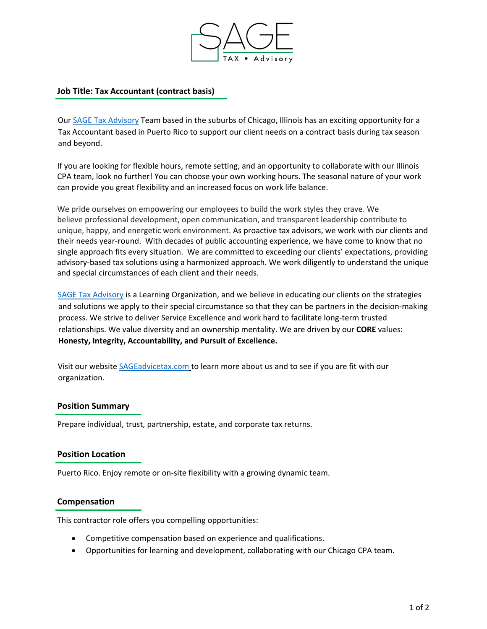

# **Job Title: Tax Accountant (contract basis)**

Our [SAGE Tax Advisory](https://sageadvicetax.com/) Team based in the suburbs of Chicago, Illinois has an exciting opportunity for a Tax Accountant based in Puerto Rico to support our client needs on a contract basis during tax season and beyond.

If you are looking for flexible hours, remote setting, and an opportunity to collaborate with our Illinois CPA team, look no further! You can choose your own working hours. The seasonal nature of your work can provide you great flexibility and an increased focus on work life balance.

We pride ourselves on empowering our employees to build the work styles they crave. We believe professional development, open communication, and transparent leadership contribute to unique, happy, and energetic work environment. As proactive tax advisors, we work with our clients and their needs year-round. With decades of public accounting experience, we have come to know that no single approach fits every situation. We are committed to exceeding our clients' expectations, providing advisory-based tax solutions using a harmonized approach. We work diligently to understand the unique and special circumstances of each client and their needs.

[SAGE Tax Advisory](https://sageadvicetax.com/) is a Learning Organization, and we believe in educating our clients on the strategies and solutions we apply to their special circumstance so that they can be partners in the decision-making process. We strive to deliver Service Excellence and work hard to facilitate long-term trusted relationships. We value diversity and an ownership mentality. We are driven by our **CORE** values: **Honesty, Integrity, Accountability, and Pursuit of Excellence.**

Visit our website [SAGEadvicetax.com](http://www.sageadvicetax.com/) to learn more about us and to see if you are fit with our organization.

## **Position Summary**

Prepare individual, trust, partnership, estate, and corporate tax returns.

## **Position Location**

Puerto Rico. Enjoy remote or on-site flexibility with a growing dynamic team.

## **Compensation**

This contractor role offers you compelling opportunities:

- Competitive compensation based on experience and qualifications.
- Opportunities for learning and development, collaborating with our Chicago CPA team.